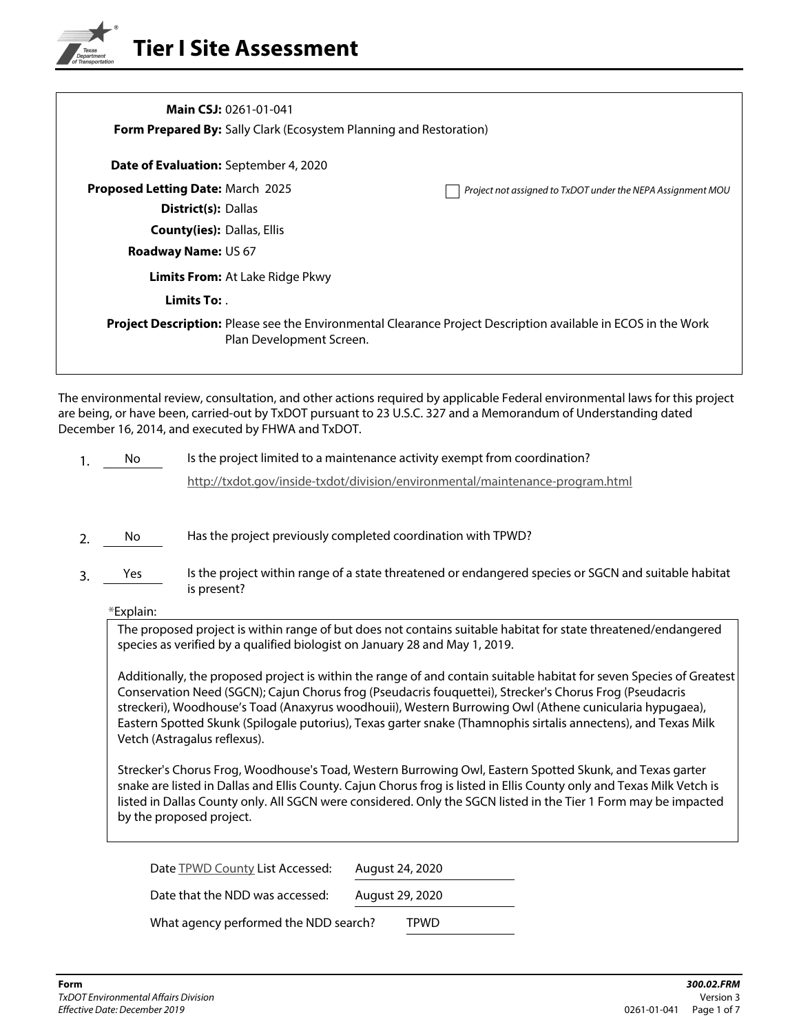

| <b>Main CSJ: 0261-01-041</b><br>Form Prepared By: Sally Clark (Ecosystem Planning and Restoration)                                               |                                                             |  |  |  |
|--------------------------------------------------------------------------------------------------------------------------------------------------|-------------------------------------------------------------|--|--|--|
| Date of Evaluation: September 4, 2020                                                                                                            |                                                             |  |  |  |
| Proposed Letting Date: March 2025<br><b>District(s): Dallas</b>                                                                                  | Project not assigned to TxDOT under the NEPA Assignment MOU |  |  |  |
| <b>County(ies):</b> Dallas, Ellis                                                                                                                |                                                             |  |  |  |
| Roadway Name: US 67<br><b>Limits From: At Lake Ridge Pkwy</b>                                                                                    |                                                             |  |  |  |
| Limits To:                                                                                                                                       |                                                             |  |  |  |
| <b>Project Description:</b> Please see the Environmental Clearance Project Description available in ECOS in the Work<br>Plan Development Screen. |                                                             |  |  |  |

The environmental review, consultation, and other actions required by applicable Federal environmental laws for this project are being, or have been, carried-out by TxDOT pursuant to 23 U.S.C. 327 and a Memorandum of Understanding dated December 16, 2014, and executed by FHWA and TxDOT.

| No        | Is the project limited to a maintenance activity exempt from coordination?                                                                                                                                                       |  |  |
|-----------|----------------------------------------------------------------------------------------------------------------------------------------------------------------------------------------------------------------------------------|--|--|
|           | http://txdot.gov/inside-txdot/division/environmental/maintenance-program.html                                                                                                                                                    |  |  |
|           |                                                                                                                                                                                                                                  |  |  |
| No        | Has the project previously completed coordination with TPWD?                                                                                                                                                                     |  |  |
| Yes       | Is the project within range of a state threatened or endangered species or SGCN and suitable habitat<br>is present?                                                                                                              |  |  |
| *Explain: |                                                                                                                                                                                                                                  |  |  |
|           | The proposed project is within range of but does not contains suitable habitat for state threatened/endangered<br>species as verified by a qualified biologist on January 28 and May 1, 2019.                                    |  |  |
|           | Additionally, the proposed project is within the range of and contain suitable habitat for seven Species of Greatest<br>Consenization Need (SGCN): Caiun Chorus frog (Pseudacris fouguettei), Strecker's Chorus Frog (Pseudacris |  |  |

tion Need (SGCN); Cajun Chorus frog (Pseudacris fouquettei), Strecker's Chorus Frog (Pseudacris streckeri), Woodhouse's Toad (Anaxyrus woodhouii), Western Burrowing Owl (Athene cunicularia hypugaea), Eastern Spotted Skunk (Spilogale putorius), Texas garter snake (Thamnophis sirtalis annectens), and Texas Milk Vetch (Astragalus reflexus).

Strecker's Chorus Frog, Woodhouse's Toad, Western Burrowing Owl, Eastern Spotted Skunk, and Texas garter snake are listed in Dallas and Ellis County. Cajun Chorus frog is listed in Ellis County only and Texas Milk Vetch is listed in Dallas County only. All SGCN were considered. Only the SGCN listed in the Tier 1 Form may be impacted by the proposed project.

| Date TPWD County List Accessed:       | August 24, 2020 |  |
|---------------------------------------|-----------------|--|
| Date that the NDD was accessed:       | August 29, 2020 |  |
| What agency performed the NDD search? | <b>TPWD</b>     |  |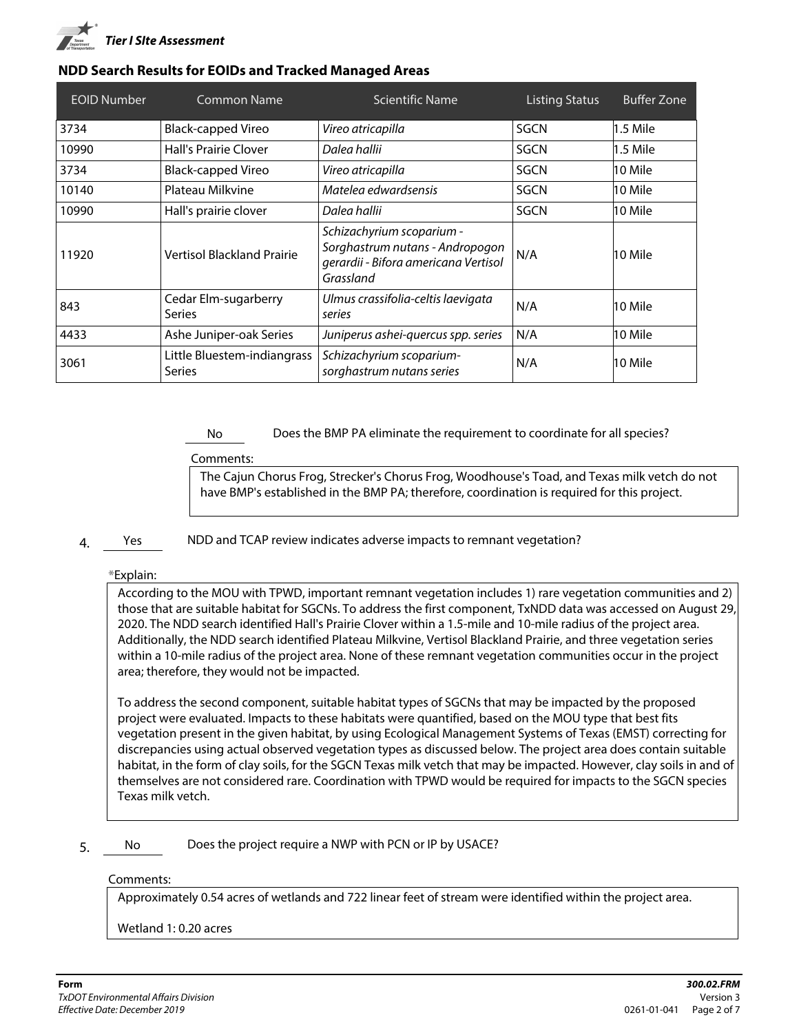

| <b>EOID Number</b> | <b>Common Name</b>                           | <b>Scientific Name</b>                                                                                            | Listing Status | <b>Buffer Zone</b> |
|--------------------|----------------------------------------------|-------------------------------------------------------------------------------------------------------------------|----------------|--------------------|
| 3734               | <b>Black-capped Vireo</b>                    | Vireo atricapilla                                                                                                 | SGCN           | $1.5$ Mile         |
| 10990              | Hall's Prairie Clover                        | Dalea hallii                                                                                                      | SGCN           | 1.5 Mile           |
| 3734               | <b>Black-capped Vireo</b>                    | Vireo atricapilla                                                                                                 | SGCN           | 10 Mile            |
| 10140              | Plateau Milkvine                             | Matelea edwardsensis                                                                                              | SGCN           | 10 Mile            |
| 10990              | Hall's prairie clover                        | Dalea hallii                                                                                                      | SGCN           | 10 Mile            |
| 11920              | <b>Vertisol Blackland Prairie</b>            | Schizachyrium scoparium -<br>Sorghastrum nutans - Andropogon<br>gerardii - Bifora americana Vertisol<br>Grassland | N/A            | 10 Mile            |
| 843                | Cedar Elm-sugarberry<br><b>Series</b>        | Ulmus crassifolia-celtis laevigata<br>series                                                                      | N/A            | 10 Mile            |
| 4433               | Ashe Juniper-oak Series                      | Juniperus ashei-quercus spp. series                                                                               | N/A            | 10 Mile            |
| 3061               | Little Bluestem-indiangrass<br><b>Series</b> | Schizachyrium scoparium-<br>sorghastrum nutans series                                                             | N/A            | 10 Mile            |

# **NDD Search Results for EOIDs and Tracked Managed Areas**

No Does the BMP PA eliminate the requirement to coordinate for all species?

Comments:

The Cajun Chorus Frog, Strecker's Chorus Frog, Woodhouse's Toad, and Texas milk vetch do not have BMP's established in the BMP PA; therefore, coordination is required for this project.

4. Yes NDD and TCAP review indicates adverse impacts to remnant vegetation?

# **\***Explain:

According to the MOU with TPWD, important remnant vegetation includes 1) rare vegetation communities and 2) those that are suitable habitat for SGCNs. To address the first component, TxNDD data was accessed on August 29, 2020. The NDD search identified Hall's Prairie Clover within a 1.5-mile and 10-mile radius of the project area. Additionally, the NDD search identified Plateau Milkvine, Vertisol Blackland Prairie, and three vegetation series within a 10-mile radius of the project area. None of these remnant vegetation communities occur in the project area; therefore, they would not be impacted.

To address the second component, suitable habitat types of SGCNs that may be impacted by the proposed project were evaluated. Impacts to these habitats were quantified, based on the MOU type that best fits vegetation present in the given habitat, by using Ecological Management Systems of Texas (EMST) correcting for discrepancies using actual observed vegetation types as discussed below. The project area does contain suitable habitat, in the form of clay soils, for the SGCN Texas milk vetch that may be impacted. However, clay soils in and of themselves are not considered rare. Coordination with TPWD would be required for impacts to the SGCN species Texas milk vetch.

# 5. No Does the project require a NWP with PCN or IP by USACE?

# Comments:

Approximately 0.54 acres of wetlands and 722 linear feet of stream were identified within the project area.

Wetland 1: 0.20 acres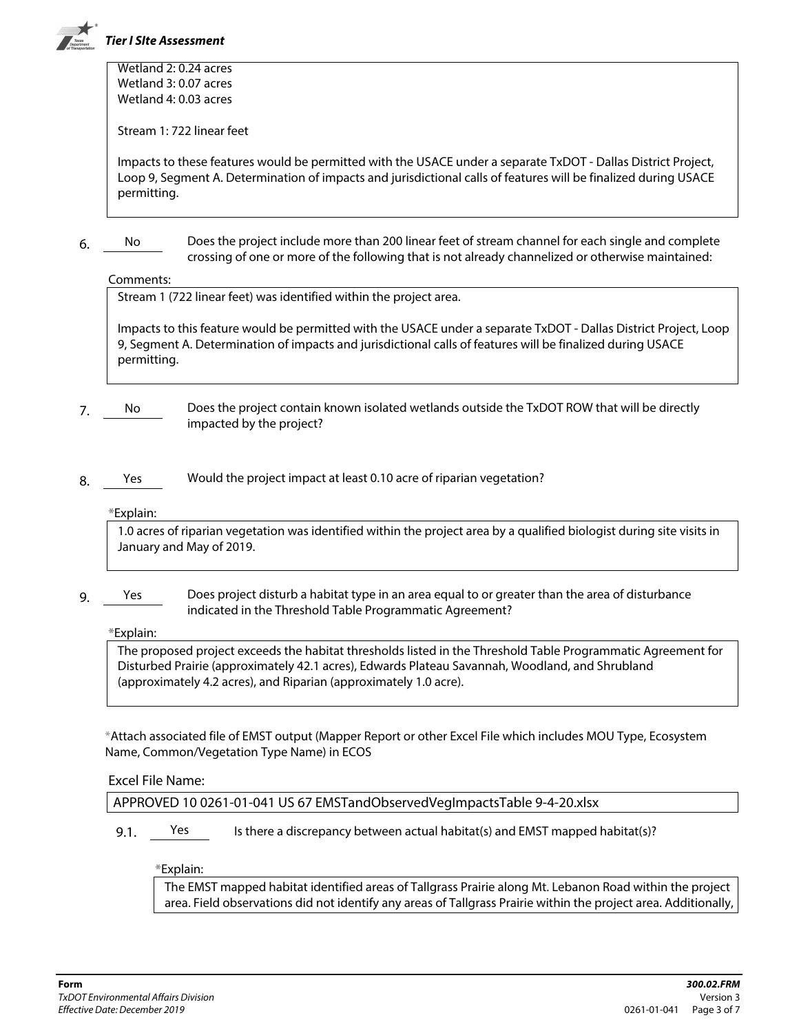

### **Tier I SIte Assessment**

Wetland 2: 0.24 acres Wetland 3: 0.07 acres Wetland 4: 0.03 acres

Stream 1: 722 linear feet

Impacts to these features would be permitted with the USACE under a separate TxDOT - Dallas District Project, Loop 9, Segment A. Determination of impacts and jurisdictional calls of features will be finalized during USACE permitting.

No Does the project include more than 200 linear feet of stream channel for each single and complete crossing of one or more of the following that is not already channelized or otherwise maintained: 6.

Comments:

Stream 1 (722 linear feet) was identified within the project area.

Impacts to this feature would be permitted with the USACE under a separate TxDOT - Dallas District Project, Loop 9, Segment A. Determination of impacts and jurisdictional calls of features will be finalized during USACE permitting.

- No Does the project contain known isolated wetlands outside the TxDOT ROW that will be directly impacted by the project? 7.
- 8. Yes Would the project impact at least 0.10 acre of riparian vegetation?

#### **\***Explain:

1.0 acres of riparian vegetation was identified within the project area by a qualified biologist during site visits in January and May of 2019.

Yes Does project disturb a habitat type in an area equal to or greater than the area of disturbance indicated in the Threshold Table Programmatic Agreement? 9.

**\***Explain:

The proposed project exceeds the habitat thresholds listed in the Threshold Table Programmatic Agreement for Disturbed Prairie (approximately 42.1 acres), Edwards Plateau Savannah, Woodland, and Shrubland (approximately 4.2 acres), and Riparian (approximately 1.0 acre).

\*Attach associated file of EMST output (Mapper Report or other Excel File which includes MOU Type, Ecosystem Name, Common/Vegetation Type Name) in ECOS

# Excel File Name:

APPROVED 10 0261-01-041 US 67 EMSTandObservedVegImpactsTable 9-4-20.xlsx

9.1. Yes Is there a discrepancy between actual habitat(s) and EMST mapped habitat(s)?

**\***Explain:

The EMST mapped habitat identified areas of Tallgrass Prairie along Mt. Lebanon Road within the project area. Field observations did not identify any areas of Tallgrass Prairie within the project area. Additionally,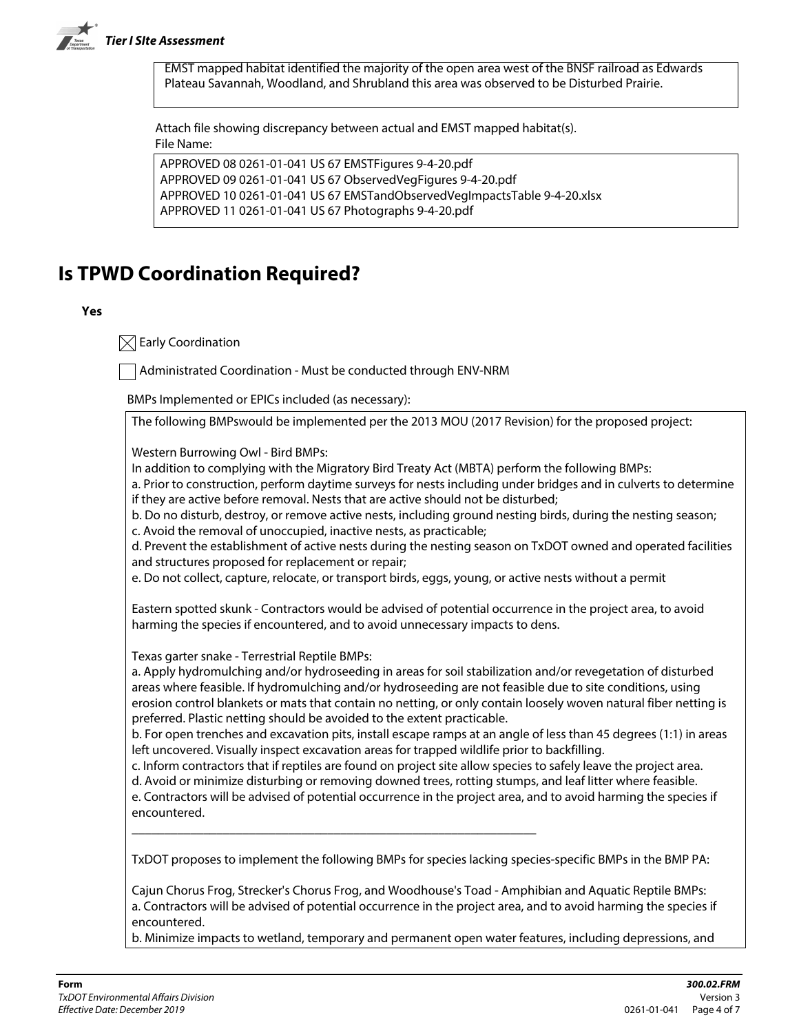

EMST mapped habitat identified the majority of the open area west of the BNSF railroad as Edwards Plateau Savannah, Woodland, and Shrubland this area was observed to be Disturbed Prairie.

Attach file showing discrepancy between actual and EMST mapped habitat(s).

File Name:

APPROVED 08 0261-01-041 US 67 EMSTFigures 9-4-20.pdf

APPROVED 09 0261-01-041 US 67 ObservedVegFigures 9-4-20.pdf

APPROVED 10 0261-01-041 US 67 EMSTandObservedVegImpactsTable 9-4-20.xlsx

APPROVED 11 0261-01-041 US 67 Photographs 9-4-20.pdf

# **Is TPWD Coordination Required?**

# **Yes**

 $\boxtimes$  Early Coordination

Administrated Coordination - Must be conducted through ENV-NRM

BMPs Implemented or EPICs included (as necessary):

The following BMPswould be implemented per the 2013 MOU (2017 Revision) for the proposed project:

Western Burrowing Owl - Bird BMPs:

In addition to complying with the Migratory Bird Treaty Act (MBTA) perform the following BMPs:

a. Prior to construction, perform daytime surveys for nests including under bridges and in culverts to determine if they are active before removal. Nests that are active should not be disturbed;

b. Do no disturb, destroy, or remove active nests, including ground nesting birds, during the nesting season; c. Avoid the removal of unoccupied, inactive nests, as practicable;

d. Prevent the establishment of active nests during the nesting season on TxDOT owned and operated facilities and structures proposed for replacement or repair;

e. Do not collect, capture, relocate, or transport birds, eggs, young, or active nests without a permit

Eastern spotted skunk - Contractors would be advised of potential occurrence in the project area, to avoid harming the species if encountered, and to avoid unnecessary impacts to dens.

Texas garter snake - Terrestrial Reptile BMPs:

a. Apply hydromulching and/or hydroseeding in areas for soil stabilization and/or revegetation of disturbed areas where feasible. If hydromulching and/or hydroseeding are not feasible due to site conditions, using erosion control blankets or mats that contain no netting, or only contain loosely woven natural fiber netting is preferred. Plastic netting should be avoided to the extent practicable.

b. For open trenches and excavation pits, install escape ramps at an angle of less than 45 degrees (1:1) in areas left uncovered. Visually inspect excavation areas for trapped wildlife prior to backfilling.

c. Inform contractors that if reptiles are found on project site allow species to safely leave the project area.

d. Avoid or minimize disturbing or removing downed trees, rotting stumps, and leaf litter where feasible. e. Contractors will be advised of potential occurrence in the project area, and to avoid harming the species if encountered.

TxDOT proposes to implement the following BMPs for species lacking species-specific BMPs in the BMP PA:

\_\_\_\_\_\_\_\_\_\_\_\_\_\_\_\_\_\_\_\_\_\_\_\_\_\_\_\_\_\_\_\_\_\_\_\_\_\_\_\_\_\_\_\_\_\_\_\_\_\_\_\_\_\_\_\_\_\_\_\_\_\_

Cajun Chorus Frog, Strecker's Chorus Frog, and Woodhouse's Toad - Amphibian and Aquatic Reptile BMPs: a. Contractors will be advised of potential occurrence in the project area, and to avoid harming the species if encountered.

b. Minimize impacts to wetland, temporary and permanent open water features, including depressions, and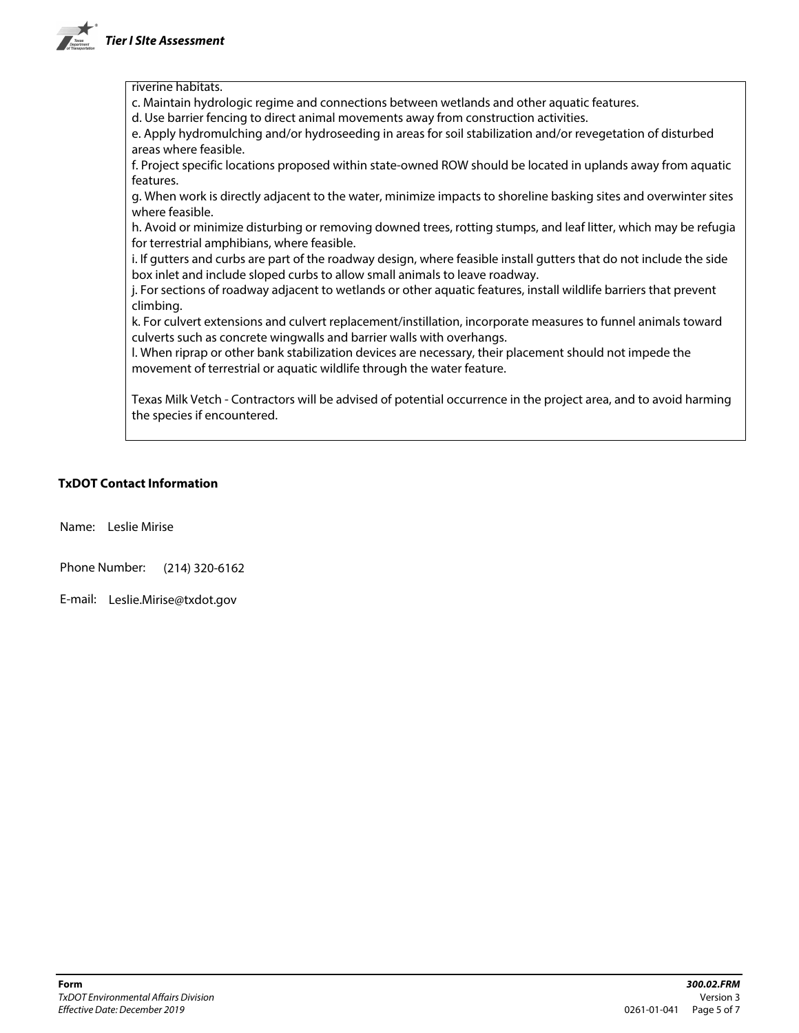

riverine habitats.

c. Maintain hydrologic regime and connections between wetlands and other aquatic features.

d. Use barrier fencing to direct animal movements away from construction activities.

e. Apply hydromulching and/or hydroseeding in areas for soil stabilization and/or revegetation of disturbed areas where feasible.

f. Project specific locations proposed within state-owned ROW should be located in uplands away from aquatic features.

g. When work is directly adjacent to the water, minimize impacts to shoreline basking sites and overwinter sites where feasible.

h. Avoid or minimize disturbing or removing downed trees, rotting stumps, and leaf litter, which may be refugia for terrestrial amphibians, where feasible.

i. If gutters and curbs are part of the roadway design, where feasible install gutters that do not include the side box inlet and include sloped curbs to allow small animals to leave roadway.

j. For sections of roadway adjacent to wetlands or other aquatic features, install wildlife barriers that prevent climbing.

k. For culvert extensions and culvert replacement/instillation, incorporate measures to funnel animals toward culverts such as concrete wingwalls and barrier walls with overhangs.

l. When riprap or other bank stabilization devices are necessary, their placement should not impede the movement of terrestrial or aquatic wildlife through the water feature.

Texas Milk Vetch - Contractors will be advised of potential occurrence in the project area, and to avoid harming the species if encountered.

# **TxDOT Contact Information**

- Name: Leslie Mirise
- Phone Number: (214) 320-6162
- E-mail: Leslie.Mirise@txdot.gov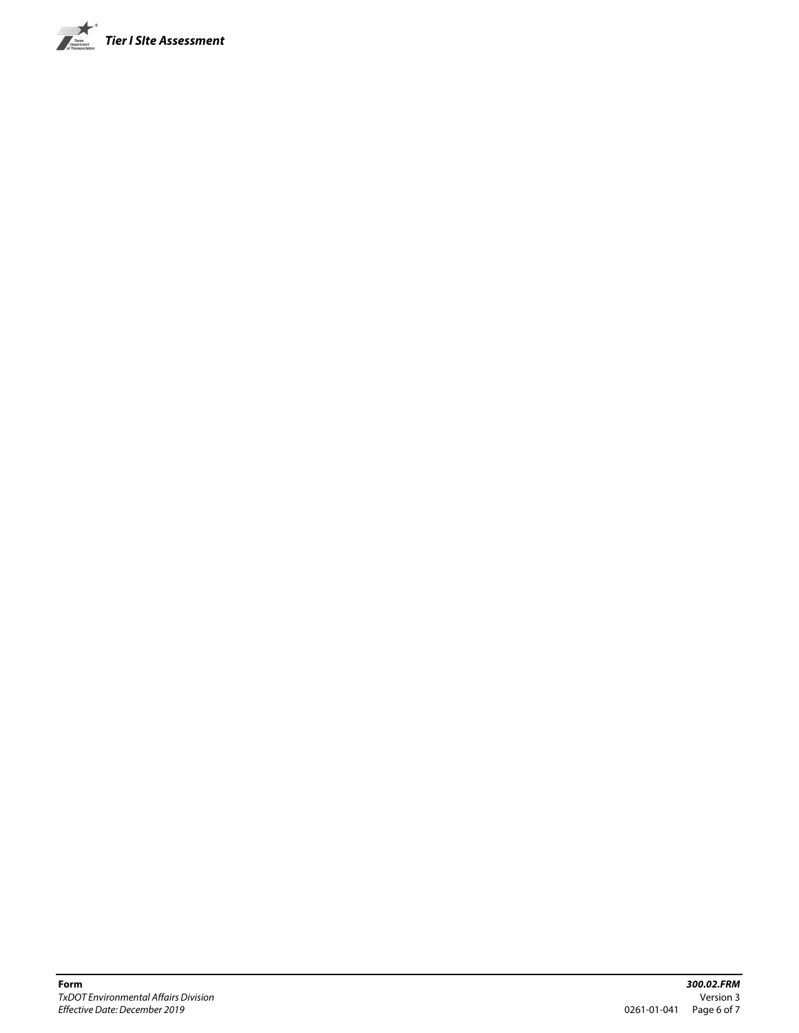